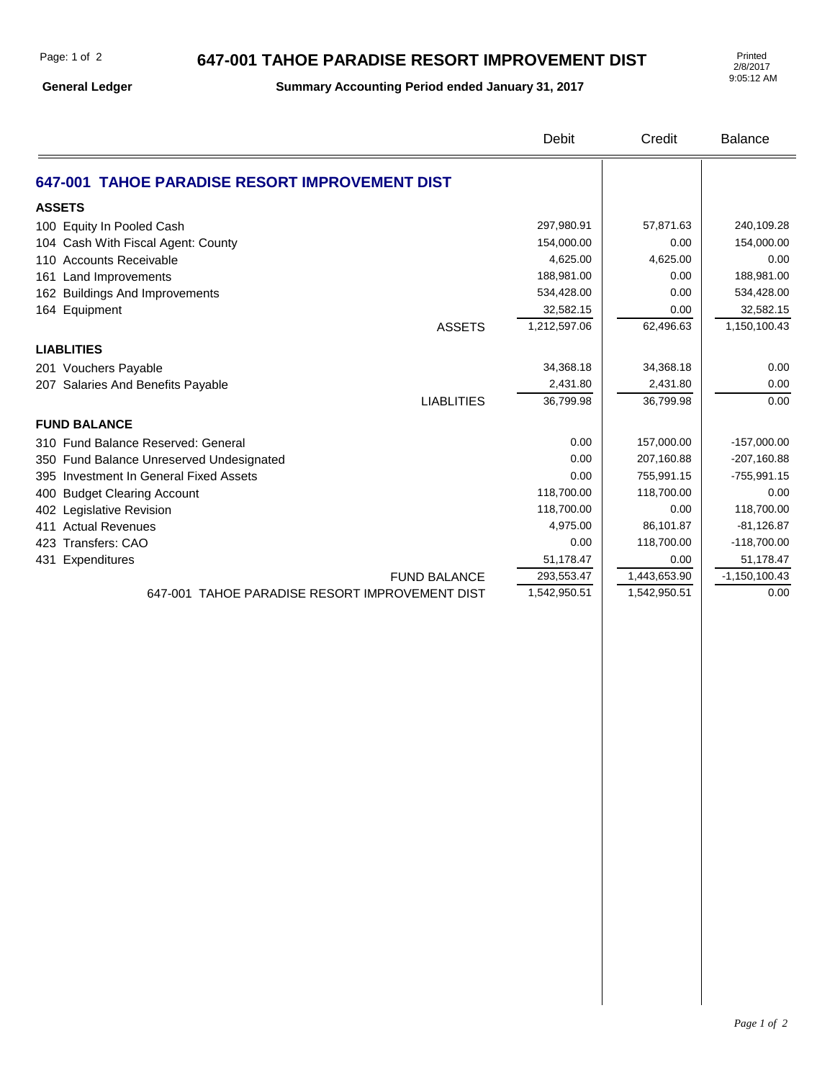## **647-001 TAHOE PARADISE RESORT IMPROVEMENT DIST**

**General Ledger**

**Summary Accounting Period ended January 31, 2017**

2/8/2017 9:05:12 AM

|                                                | Debit        | Credit       | Balance         |
|------------------------------------------------|--------------|--------------|-----------------|
| 647-001 TAHOE PARADISE RESORT IMPROVEMENT DIST |              |              |                 |
| <b>ASSETS</b>                                  |              |              |                 |
| 100 Equity In Pooled Cash                      | 297,980.91   | 57,871.63    | 240,109.28      |
| 104 Cash With Fiscal Agent: County             | 154,000.00   | 0.00         | 154,000.00      |
| 110 Accounts Receivable                        | 4,625.00     | 4,625.00     | 0.00            |
| 161 Land Improvements                          | 188,981.00   | 0.00         | 188,981.00      |
| 162 Buildings And Improvements                 | 534,428.00   | 0.00         | 534,428.00      |
| 164 Equipment                                  | 32,582.15    | 0.00         | 32,582.15       |
| <b>ASSETS</b>                                  | 1,212,597.06 | 62,496.63    | 1,150,100.43    |
| <b>LIABLITIES</b>                              |              |              |                 |
| 201 Vouchers Payable                           | 34,368.18    | 34,368.18    | 0.00            |
| 207 Salaries And Benefits Payable              | 2,431.80     | 2,431.80     | 0.00            |
| <b>LIABLITIES</b>                              | 36,799.98    | 36,799.98    | 0.00            |
| <b>FUND BALANCE</b>                            |              |              |                 |
| 310 Fund Balance Reserved: General             | 0.00         | 157,000.00   | $-157,000.00$   |
| 350 Fund Balance Unreserved Undesignated       | 0.00         | 207,160.88   | $-207,160.88$   |
| 395 Investment In General Fixed Assets         | 0.00         | 755,991.15   | $-755,991.15$   |
| 400 Budget Clearing Account                    | 118,700.00   | 118,700.00   | 0.00            |
| 402 Legislative Revision                       | 118,700.00   | 0.00         | 118,700.00      |
| 411 Actual Revenues                            | 4,975.00     | 86,101.87    | $-81,126.87$    |
| 423 Transfers: CAO                             | 0.00         | 118,700.00   | $-118,700.00$   |
| 431 Expenditures                               | 51,178.47    | 0.00         | 51,178.47       |
| <b>FUND BALANCE</b>                            | 293,553.47   | 1,443,653.90 | $-1,150,100.43$ |
| 647-001 TAHOE PARADISE RESORT IMPROVEMENT DIST | 1,542,950.51 | 1,542,950.51 | 0.00            |
|                                                |              |              |                 |
|                                                |              |              |                 |
|                                                |              |              |                 |
|                                                |              |              |                 |
|                                                |              |              |                 |
|                                                |              |              |                 |
|                                                |              |              |                 |
|                                                |              |              |                 |
|                                                |              |              |                 |
|                                                |              |              |                 |
|                                                |              |              |                 |
|                                                |              |              |                 |
|                                                |              |              |                 |
|                                                |              |              |                 |
|                                                |              |              |                 |
|                                                |              |              |                 |
|                                                |              |              |                 |
|                                                |              |              |                 |
|                                                |              |              |                 |
|                                                |              |              |                 |
|                                                |              |              |                 |
|                                                |              |              |                 |
|                                                |              |              |                 |